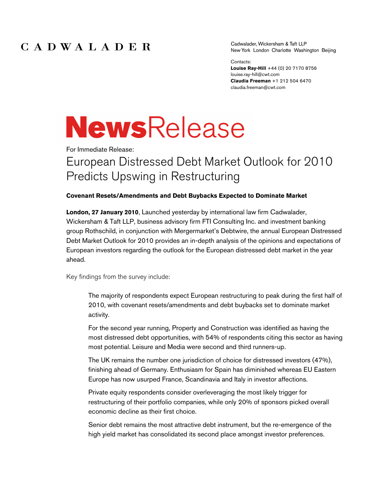## CADWALADER

Cadwalader, Wickersham & Taft LLP New York London Charlotte Washington Beijing

Contacts: **Louise Ray-Hill** +44 (0) 20 7170 8756

louise.ray-hill@cwt.com **Claudia Freeman** +1 212 504 6470 claudia.freeman@cwt.com

# **NewsRelease**

For Immediate Release:

## European Distressed Debt Market Outlook for 2010 Predicts Upswing in Restructuring

## **Covenant Resets/Amendments and Debt Buybacks Expected to Dominate Market**

**London, 27 January 2010**, Launched yesterday by international law firm Cadwalader, Wickersham & Taft LLP, business advisory firm FTI Consulting Inc. and investment banking group Rothschild, in conjunction with Mergermarket's Debtwire, the annual European Distressed Debt Market Outlook for 2010 provides an in-depth analysis of the opinions and expectations of European investors regarding the outlook for the European distressed debt market in the year ahead.

Key findings from the survey include:

The majority of respondents expect European restructuring to peak during the first half of 2010, with covenant resets/amendments and debt buybacks set to dominate market activity.

For the second year running, Property and Construction was identified as having the most distressed debt opportunities, with 54% of respondents citing this sector as having most potential. Leisure and Media were second and third runners-up.

The UK remains the number one jurisdiction of choice for distressed investors (47%), finishing ahead of Germany. Enthusiasm for Spain has diminished whereas EU Eastern Europe has now usurped France, Scandinavia and Italy in investor affections.

Private equity respondents consider overleveraging the most likely trigger for restructuring of their portfolio companies, while only 20% of sponsors picked overall economic decline as their first choice.

Senior debt remains the most attractive debt instrument, but the re-emergence of the high yield market has consolidated its second place amongst investor preferences.